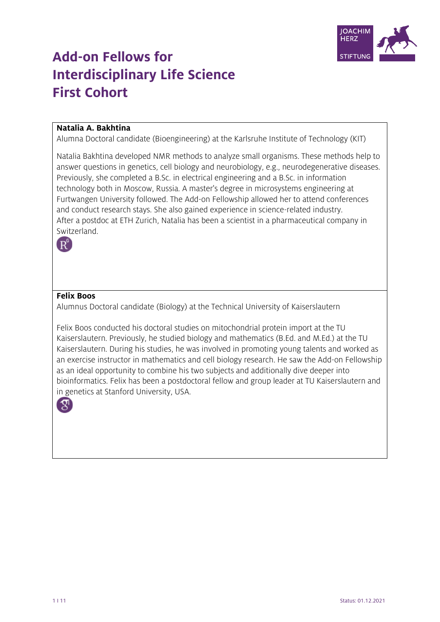

# **Add-on Fellows for Interdisciplinary Life Science First Cohort**

## **Natalia A. Bakhtina**

Alumna Doctoral candidate (Bioengineering) at the Karlsruhe Institute of Technology (KIT)

Natalia Bakhtina developed NMR methods to analyze small organisms. These methods help to answer questions in genetics, cell biology and neurobiology, e.g., neurodegenerative diseases. Previously, she completed a B.Sc. in electrical engineering and a B.Sc. in information technology both in Moscow, Russia. A master's degree in microsystems engineering at Furtwangen University followed. The Add-on Fellowship allowed her to attend conferences and conduct research stays. She also gained experience in science-related industry. After a postdoc at ETH Zurich, Natalia has been a scientist in a pharmaceutical company in Switzerland.



## **Felix Boos**

Alumnus Doctoral candidate (Biology) at the Technical University of Kaiserslautern

Felix Boos conducted his doctoral studies on mitochondrial protein import at the TU Kaiserslautern. Previously, he studied biology and mathematics (B.Ed. and M.Ed.) at the TU Kaiserslautern. During his studies, he was involved in promoting young talents and worked as an exercise instructor in mathematics and cell biology research. He saw the Add-on Fellowship as an ideal opportunity to combine his two subjects and additionally dive deeper into bioinformatics. Felix has been a postdoctoral fellow and group leader at TU Kaiserslautern and in genetics at Stanford University, USA.



1 I 11 Status: 01.12.2021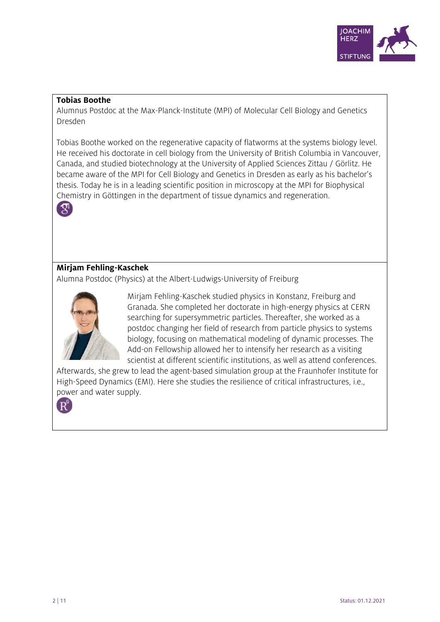

#### **Tobias Boothe**

Alumnus Postdoc at the Max-Planck-Institute (MPI) of Molecular Cell Biology and Genetics Dresden

Tobias Boothe worked on the regenerative capacity of flatworms at the systems biology level. He received his doctorate in cell biology from the University of British Columbia in Vancouver, Canada, and studied biotechnology at the University of Applied Sciences Zittau / Görlitz. He became aware of the MPI for Cell Biology and Genetics in Dresden as early as his bachelor's thesis. Today he is in a leading scientific position in microscopy at the MPI for Biophysical Chemistry in Göttingen in the department of tissue dynamics and regeneration.



## **Mirjam Fehling-Kaschek**

Alumna Postdoc (Physics) at the Albert-Ludwigs-University of Freiburg



Mirjam Fehling-Kaschek studied physics in Konstanz, Freiburg and Granada. She completed her doctorate in high-energy physics at CERN searching for supersymmetric particles. Thereafter, she worked as a postdoc changing her field of research from particle physics to systems biology, focusing on mathematical modeling of dynamic processes. The Add-on Fellowship allowed her to intensify her research as a visiting scientist at different scientific institutions, as well as attend conferences.

Afterwards, she grew to lead the agent-based simulation group at the Fraunhofer Institute for High-Speed Dynamics (EMI). Here she studies the resilience of critical infrastructures, i.e., power and water supply.

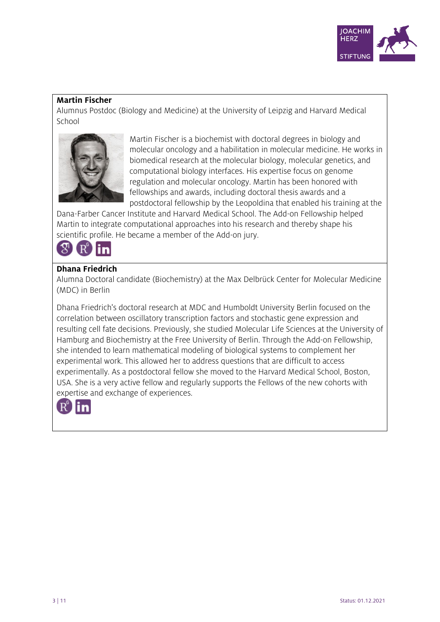

## **Martin Fischer**

Alumnus Postdoc (Biology and Medicine) at the University of Leipzig and Harvard Medical School



Martin Fischer is a biochemist with doctoral degrees in biology and molecular oncology and a habilitation in molecular medicine. He works in biomedical research at the molecular biology, molecular genetics, and computational biology interfaces. His expertise focus on genome regulation and molecular oncology. Martin has been honored with fellowships and awards, including doctoral thesis awards and a postdoctoral fellowship by the Leopoldina that enabled his training at the

Dana-Farber Cancer Institute and Harvard Medical School. The Add-on Fellowship helped Martin to integrate computational approaches into his research and thereby shape his scientific profile. He became a member of the Add-on jury.



## **Dhana Friedrich**

Alumna Doctoral candidate (Biochemistry) at the Max Delbrück Center for Molecular Medicine (MDC) in Berlin

Dhana Friedrich's doctoral research at MDC and Humboldt University Berlin focused on the correlation between oscillatory transcription factors and stochastic gene expression and resulting cell fate decisions. Previously, she studied Molecular Life Sciences at the University of Hamburg and Biochemistry at the Free University of Berlin. Through the Add-on Fellowship, she intended to learn mathematical modeling of biological systems to complement her experimental work. This allowed her to address questions that are difficult to access experimentally. As a postdoctoral fellow she moved to the Harvard Medical School, Boston, USA. She is a very active fellow and regularly supports the Fellows of the new cohorts with expertise and exchange of experiences.

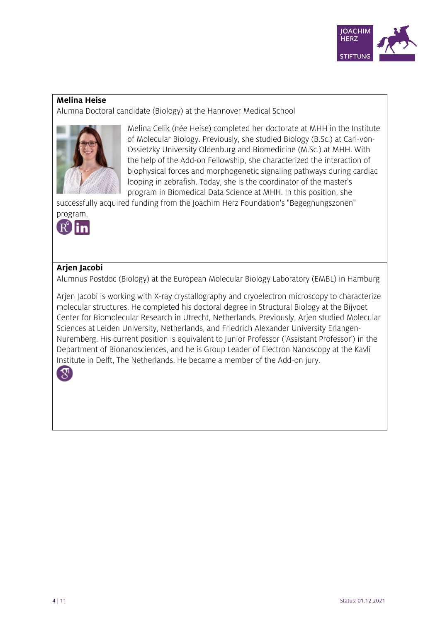

#### **Melina Heise**

Alumna Doctoral candidate (Biology) at the Hannover Medical School



Melina Celik (née Heise) completed her doctorate at MHH in the Institute of Molecular Biology. Previously, she studied Biology (B.Sc.) at Carl-von-Ossietzky University Oldenburg and Biomedicine (M.Sc.) at MHH. With the help of the Add-on Fellowship, she characterized the interaction of biophysical forces and morphogenetic signaling pathways during cardiac looping in zebrafish. Today, she is the coordinator of the master's program in Biomedical Data Science at MHH. In this position, she

successfully acquired funding from the Joachim Herz Foundation's "Begegnungszonen" program.



# **Arjen Jacobi**

Alumnus Postdoc (Biology) at the European Molecular Biology Laboratory (EMBL) in Hamburg

Arjen Jacobi is working with X-ray crystallography and cryoelectron microscopy to characterize molecular structures. He completed his doctoral degree in Structural Biology at the Bijvoet Center for Biomolecular Research in Utrecht, Netherlands. Previously, Arjen studied Molecular Sciences at Leiden University, Netherlands, and Friedrich Alexander University Erlangen-Nuremberg. His current position is equivalent to Junior Professor ('Assistant Professor') in the Department of Bionanosciences, and he is Group Leader of Electron Nanoscopy at the Kavli Institute in Delft, The Netherlands. He became a member of the Add-on jury.

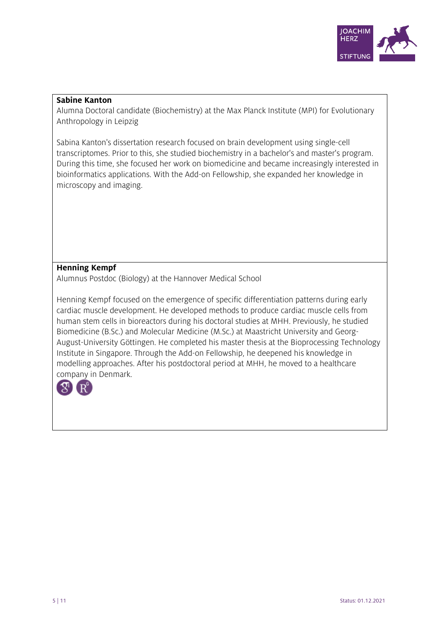

#### **Sabine Kanton**

Alumna Doctoral candidate (Biochemistry) at the Max Planck Institute (MPI) for Evolutionary Anthropology in Leipzig

Sabina Kanton's dissertation research focused on brain development using single-cell transcriptomes. Prior to this, she studied biochemistry in a bachelor's and master's program. During this time, she focused her work on biomedicine and became increasingly interested in bioinformatics applications. With the Add-on Fellowship, she expanded her knowledge in microscopy and imaging.

# **Henning Kempf**

Alumnus Postdoc (Biology) at the Hannover Medical School

Henning Kempf focused on the emergence of specific differentiation patterns during early cardiac muscle development. He developed methods to produce cardiac muscle cells from human stem cells in bioreactors during his doctoral studies at MHH. Previously, he studied Biomedicine (B.Sc.) and Molecular Medicine (M.Sc.) at Maastricht University and Georg-August-University Göttingen. He completed his master thesis at the Bioprocessing Technology Institute in Singapore. Through the Add-on Fellowship, he deepened his knowledge in modelling approaches. After his postdoctoral period at MHH, he moved to a healthcare company in Denmark.

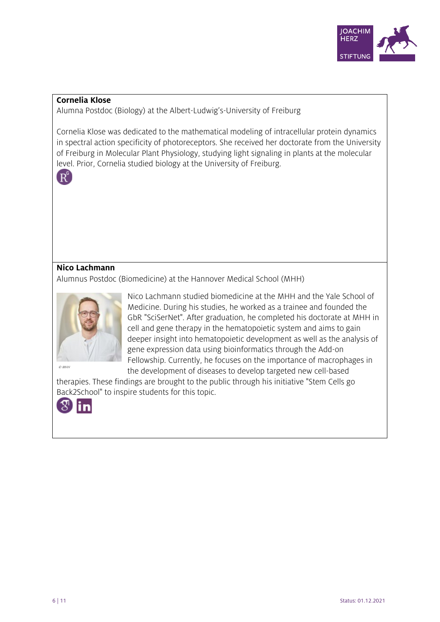

#### **Cornelia Klose**

Alumna Postdoc (Biology) at the Albert-Ludwig's-University of Freiburg

Cornelia Klose was dedicated to the mathematical modeling of intracellular protein dynamics in spectral action specificity of photoreceptors. She received her doctorate from the University of Freiburg in Molecular Plant Physiology, studying light signaling in plants at the molecular level. Prior, Cornelia studied biology at the University of Freiburg.



# **Nico Lachmann**

Alumnus Postdoc (Biomedicine) at the Hannover Medical School (MHH)



Nico Lachmann studied biomedicine at the MHH and the Yale School of Medicine. During his studies, he worked as a trainee and founded the GbR "SciSerNet". After graduation, he completed his doctorate at MHH in cell and gene therapy in the hematopoietic system and aims to gain deeper insight into hematopoietic development as well as the analysis of gene expression data using bioinformatics through the Add-on Fellowship. Currently, he focuses on the importance of macrophages in the development of diseases to develop targeted new cell-based

therapies. These findings are brought to the public through his initiative "Stem Cells go Back2School" to inspire students for this topic.

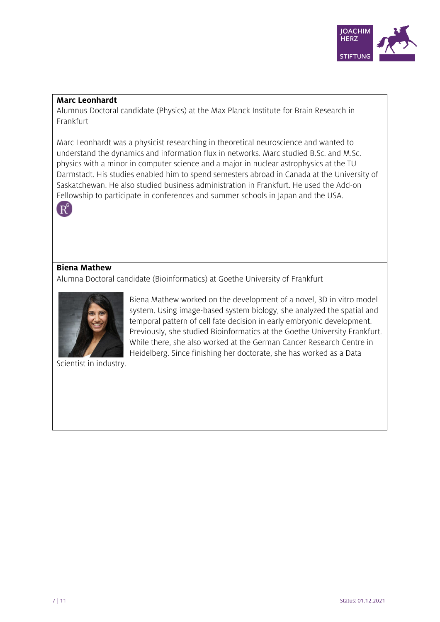

#### **Marc Leonhardt**

Alumnus Doctoral candidate (Physics) at the Max Planck Institute for Brain Research in Frankfurt

Marc Leonhardt was a physicist researching in theoretical neuroscience and wanted to understand the dynamics and information flux in networks. Marc studied B.Sc. and M.Sc. physics with a minor in computer science and a major in nuclear astrophysics at the TU Darmstadt. His studies enabled him to spend semesters abroad in Canada at the University of Saskatchewan. He also studied business administration in Frankfurt. He used the Add-on Fellowship to participate in conferences and summer schools in Japan and the USA.



#### **Biena Mathew**

Alumna Doctoral candidate (Bioinformatics) at Goethe University of Frankfurt



Biena Mathew worked on the development of a novel, 3D in vitro model system. Using image-based system biology, she analyzed the spatial and temporal pattern of cell fate decision in early embryonic development. Previously, she studied Bioinformatics at the Goethe University Frankfurt. While there, she also worked at the German Cancer Research Centre in Heidelberg. Since finishing her doctorate, she has worked as a Data

Scientist in industry.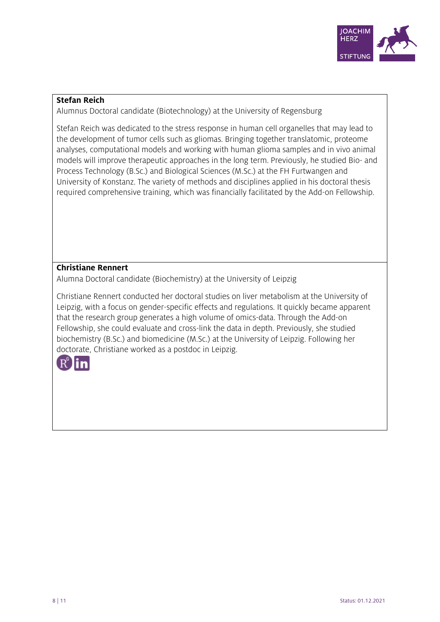

## **Stefan Reich**

Alumnus Doctoral candidate (Biotechnology) at the University of Regensburg

Stefan Reich was dedicated to the stress response in human cell organelles that may lead to the development of tumor cells such as gliomas. Bringing together translatomic, proteome analyses, computational models and working with human glioma samples and in vivo animal models will improve therapeutic approaches in the long term. Previously, he studied Bio- and Process Technology (B.Sc.) and Biological Sciences (M.Sc.) at the FH Furtwangen and University of Konstanz. The variety of methods and disciplines applied in his doctoral thesis required comprehensive training, which was financially facilitated by the Add-on Fellowship.

# **Christiane Rennert**

Alumna Doctoral candidate (Biochemistry) at the University of Leipzig

Christiane Rennert conducted her doctoral studies on liver metabolism at the University of Leipzig, with a focus on gender-specific effects and regulations. It quickly became apparent that the research group generates a high volume of omics-data. Through the Add-on Fellowship, she could evaluate and cross-link the data in depth. Previously, she studied biochemistry (B.Sc.) and biomedicine (M.Sc.) at the University of Leipzig. Following her doctorate, Christiane worked as a postdoc in Leipzig.

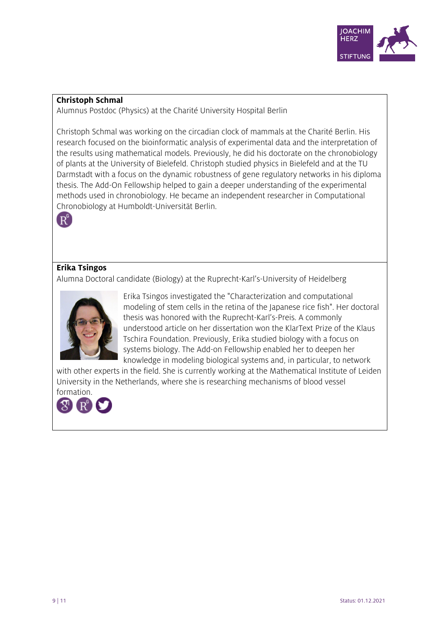

#### **Christoph Schmal**

Alumnus Postdoc (Physics) at the Charité University Hospital Berlin

Christoph Schmal was working on the circadian clock of mammals at the Charité Berlin. His research focused on the bioinformatic analysis of experimental data and the interpretation of the results using mathematical models. Previously, he did his doctorate on the chronobiology of plants at the University of Bielefeld. Christoph studied physics in Bielefeld and at the TU Darmstadt with a focus on the dynamic robustness of gene regulatory networks in his diploma thesis. The Add-On Fellowship helped to gain a deeper understanding of the experimental methods used in chronobiology. He became an independent researcher in Computational Chronobiology at Humboldt-Universität Berlin.



# **Erika Tsingos**

Alumna Doctoral candidate (Biology) at the Ruprecht-Karl's-University of Heidelberg



Erika Tsingos investigated the "Characterization and computational modeling of stem cells in the retina of the Japanese rice fish". Her doctoral thesis was honored with the Ruprecht-Karl's-Preis. A commonly understood article on her dissertation won the KlarText Prize of the Klaus Tschira Foundation. Previously, Erika studied biology with a focus on systems biology. The Add-on Fellowship enabled her to deepen her knowledge in modeling biological systems and, in particular, to network

with other experts in the field. She is currently working at the Mathematical Institute of Leiden University in the Netherlands, where she is researching mechanisms of blood vessel formation.

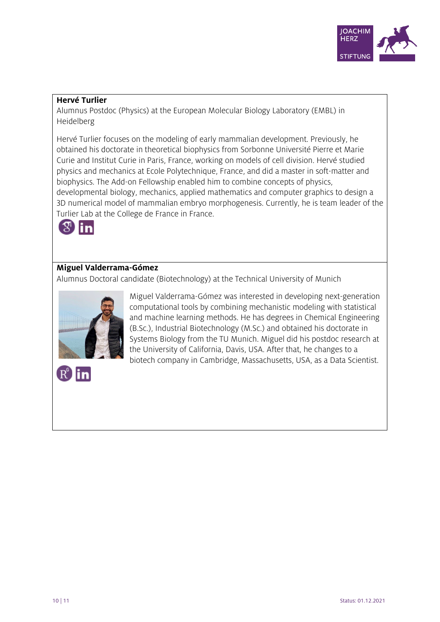

## **Hervé Turlier**

Alumnus Postdoc (Physics) at the European Molecular Biology Laboratory (EMBL) in Heidelberg

Hervé Turlier focuses on the modeling of early mammalian development. Previously, he obtained his doctorate in theoretical biophysics from Sorbonne Université Pierre et Marie Curie and Institut Curie in Paris, France, working on models of cell division. Hervé studied physics and mechanics at Ecole Polytechnique, France, and did a master in soft-matter and biophysics. The Add-on Fellowship enabled him to combine concepts of physics, developmental biology, mechanics, applied mathematics and computer graphics to design a 3D numerical model of mammalian embryo morphogenesis. Currently, he is team leader of the Turlier Lab at the College de France in France.



# **Miguel Valderrama-Gómez**

Alumnus Doctoral candidate (Biotechnology) at the Technical University of Munich



Miguel Valderrama-Gómez was interested in developing next-generation computational tools by combining mechanistic modeling with statistical and machine learning methods. He has degrees in Chemical Engineering (B.Sc.), Industrial Biotechnology (M.Sc.) and obtained his doctorate in Systems Biology from the TU Munich. Miguel did his postdoc research at the University of California, Davis, USA. After that, he changes to a biotech company in Cambridge, Massachusetts, USA, as a Data Scientist.